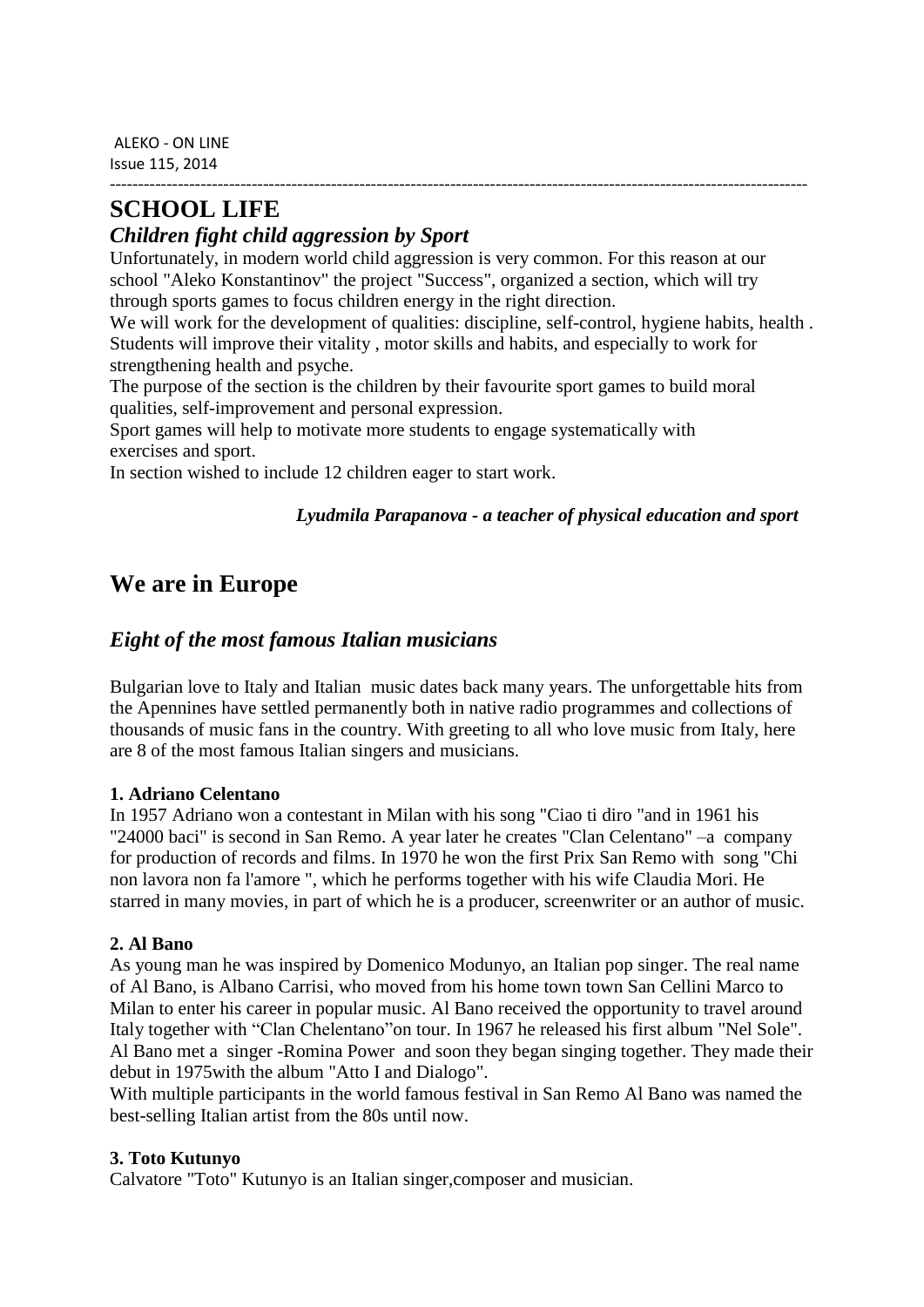ALEKO - ON LINE Issue 115, 2014

# **SCHOOL LIFE**

### *Children fight child aggression by Sport*

Unfortunately, in modern world child aggression is very common. For this reason at our school "Aleko Konstantinov" the project "Success", organized a section, which will try through sports games to focus children energy in the right direction.

We will work for the development of qualities: discipline, self-control, hygiene habits, health. Students will improve their vitality , motor skills and habits, and especially to work for strengthening health and psyche.

---------------------------------------------------------------------------------------------------------------------------

The purpose of the section is the children by their favourite sport games to build moral qualities, self-improvement and personal expression.

Sport games will help to motivate more students to engage systematically with exercises and sport.

In section wished to include 12 children eager to start work.

#### *Lyudmila Parapanova - a teacher of physical education and sport*

## **We are in Europe**

### *Eight of the most famous Italian musicians*

Bulgarian love to Italy and Italian music dates back many years. The unforgettable hits from the Apennines have settled permanently both in native radio programmes and collections of thousands of music fans in the country. With greeting to all who love music from Italy, here are 8 of the most famous Italian singers and musicians.

#### **1. Adriano Celentano**

In 1957 Adriano won a contestant in Milan with his song "Ciao ti diro "and in 1961 his "24000 baci" is second in San Remo. A year later he creates "Clan Celentano" –a company for production of records and films. In 1970 he won the first Prix San Remo with song "Chi non lavora non fa l'amore ", which he performs together with his wife Claudia Mori. He starred in many movies, in part of which he is a producer, screenwriter or an author of music.

#### **2. Al Bano**

As young man he was inspired by Domenico Modunyo, an Italian pop singer. The real name of Al Bano, is Albano Carrisi, who moved from his home town town San Cellini Marco to Milan to enter his career in popular music. Al Bano received the opportunity to travel around Italy together with "Clan Chelentano"on tour. In 1967 he released his first album "Nel Sole". Al Bano met a singer -Romina Power and soon they began singing together. They made their debut in 1975with the album "Atto I and Dialogo".

With multiple participants in the world famous festival in San Remo Al Bano was named the best-selling Italian artist from the 80s until now.

#### **3. Toto Kutunyo**

Calvatore "Toto" Kutunyo is an Italian singer,composer and musician.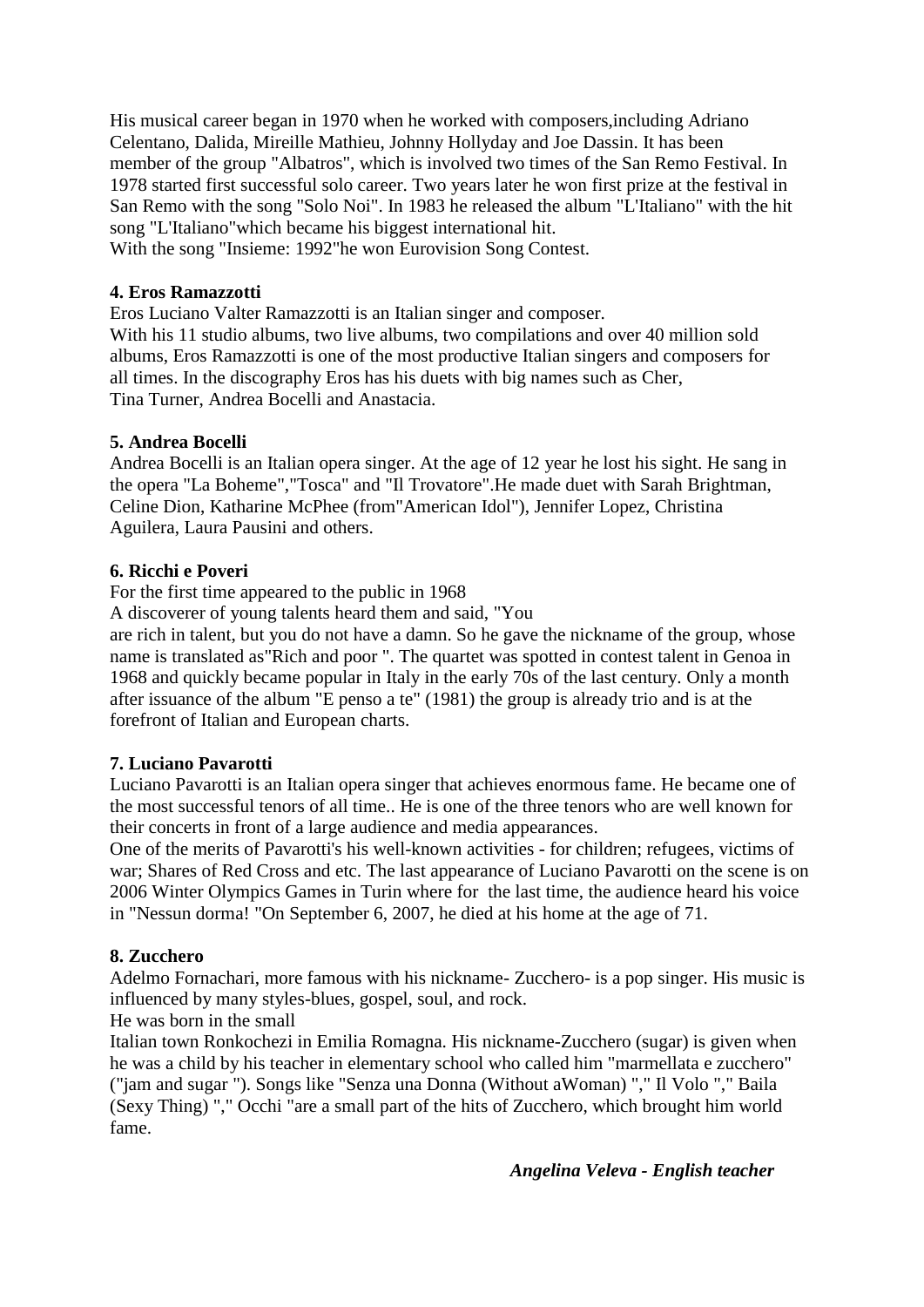His musical career began in 1970 when he worked with composers,including Adriano Celentano, Dalida, Mireille Mathieu, Johnny Hollyday and Joe Dassin. It has been member of the group "Albatros", which is involved two times of the San Remo Festival. In 1978 started first successful solo career. Two years later he won first prize at the festival in San Remo with the song "Solo Noi". In 1983 he released the album "L'Italiano" with the hit song "L'Italiano"which became his biggest international hit.

With the song "Insieme: 1992"he won Eurovision Song Contest.

#### **4. Eros Ramazzotti**

Eros Luciano Valter Ramazzotti is an Italian singer and composer.

With his 11 studio albums, two live albums, two compilations and over 40 million sold albums, Eros Ramazzotti is one of the most productive Italian singers and composers for all times. In the discography Eros has his duets with big names such as Cher, Tina Turner, Andrea Bocelli and Anastacia.

#### **5. Andrea Bocelli**

Andrea Bocelli is an Italian opera singer. At the age of 12 year he lost his sight. He sang in the opera "La Boheme","Tosca" and "Il Trovatore".He made duet with Sarah Brightman, Celine Dion, Katharine McPhee (from"American Idol"), Jennifer Lopez, Christina Aguilera, Laura Pausini and others.

#### **6. Ricchi e Poveri**

For the first time appeared to the public in 1968

A discoverer of young talents heard them and said, "You

are rich in talent, but you do not have a damn. So he gave the nickname of the group, whose name is translated as"Rich and poor ". The quartet was spotted in contest talent in Genoa in 1968 and quickly became popular in Italy in the early 70s of the last century. Only a month after issuance of the album "E penso a te" (1981) the group is already trio and is at the forefront of Italian and European charts.

#### **7. Luciano Pavarotti**

Luciano Pavarotti is an Italian opera singer that achieves enormous fame. He became one of the most successful tenors of all time.. He is one of the three tenors who are well known for their concerts in front of a large audience and media appearances.

One of the merits of Pavarotti's his well-known activities - for children; refugees, victims of war; Shares of Red Cross and etc. The last appearance of Luciano Pavarotti on the scene is on 2006 Winter Olympics Games in Turin where for the last time, the audience heard his voice in "Nessun dorma! "On September 6, 2007, he died at his home at the age of 71.

#### **8. Zucchero**

Adelmo Fornachari, more famous with his nickname- Zucchero- is a pop singer. His music is influenced by many styles-blues, gospel, soul, and rock.

#### He was born in the small

Italian town Ronkochezi in Emilia Romagna. His nickname-Zucchero (sugar) is given when he was a child by his teacher in elementary school who called him "marmellata e zucchero" ("jam and sugar "). Songs like "Senza una Donna (Without aWoman) "," Il Volo "," Baila (Sexy Thing) "," Occhi "are a small part of the hits of Zucchero, which brought him world fame.

 *Angelina Veleva - English teacher*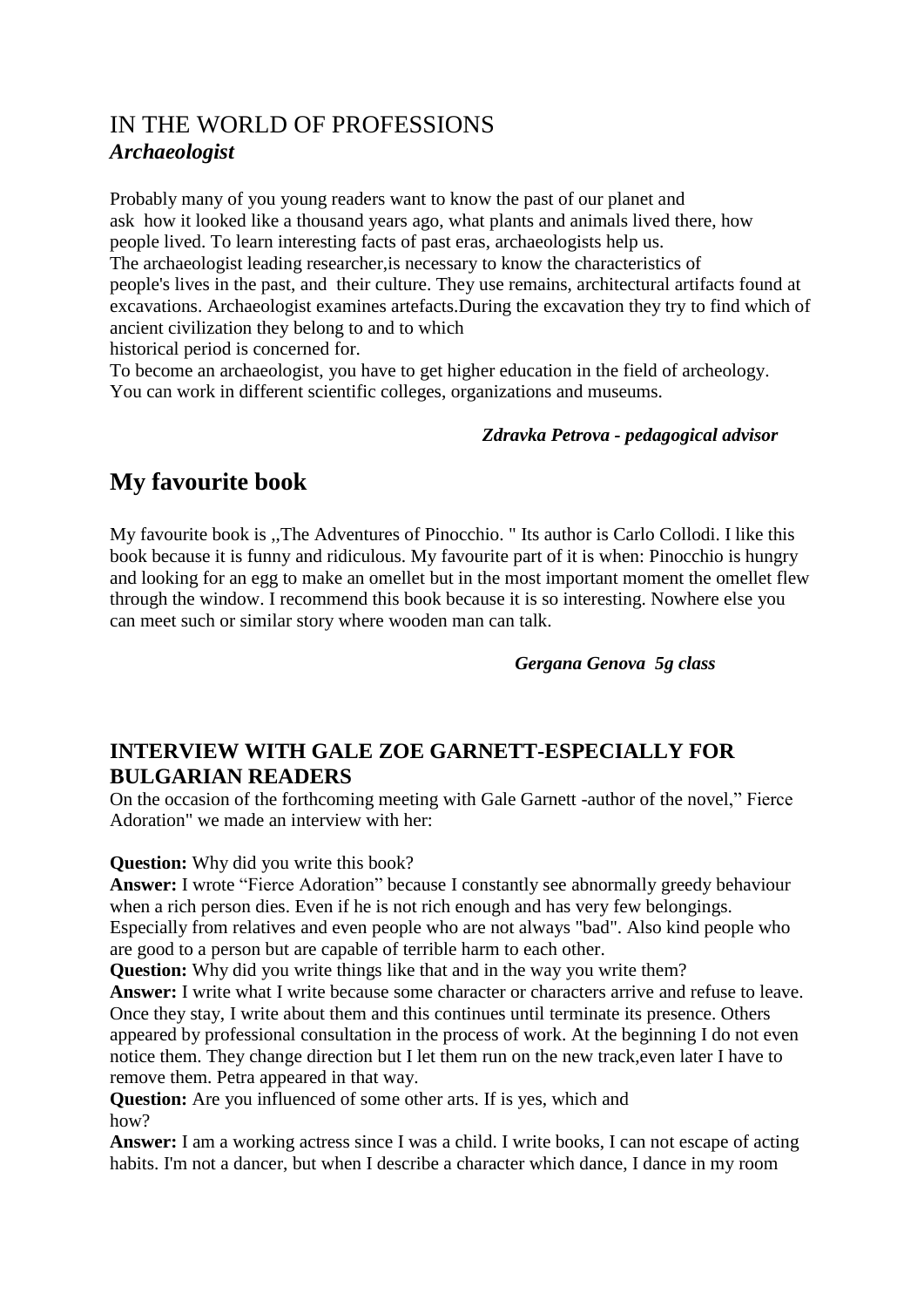## IN THE WORLD OF PROFESSIONS *Archaeologist*

Probably many of you young readers want to know the past of our planet and ask how it looked like a thousand years ago, what plants and animals lived there, how people lived. To learn interesting facts of past eras, archaeologists help us. The archaeologist leading researcher,is necessary to know the characteristics of people's lives in the past, and their culture. They use remains, architectural artifacts found at excavations. Archaeologist examines artefacts.During the excavation they try to find which of ancient civilization they belong to and to which historical period is concerned for.

To become an archaeologist, you have to get higher education in the field of archeology. You can work in different scientific colleges, organizations and museums.

#### *Zdravka Petrova - pedagogical advisor*

## **My favourite book**

My favourite book is ,,The Adventures of Pinocchio. " Its author is Carlo Collodi. I like this book because it is funny and ridiculous. My favourite part of it is when: Pinocchio is hungry and looking for an egg to make an omellet but in the most important moment the omellet flew through the window. I recommend this book because it is so interesting. Nowhere else you can meet such or similar story where wooden man can talk.

#### *Gergana Genova 5g class*

### **INTERVIEW WITH GALE ZOE GARNETT-ESPECIALLY FOR BULGARIAN READERS**

On the occasion of the forthcoming meeting with Gale Garnett -author of the novel," Fierce Adoration" we made an interview with her:

#### **Question:** Why did you write this book?

**Answer:** I wrote "Fierce Adoration" because I constantly see abnormally greedy behaviour when a rich person dies. Even if he is not rich enough and has very few belongings. Especially from relatives and even people who are not always "bad". Also kind people who are good to a person but are capable of terrible harm to each other.

**Question:** Why did you write things like that and in the way you write them?

**Answer:** I write what I write because some character or characters arrive and refuse to leave. Once they stay, I write about them and this continues until terminate its presence. Others appeared by professional consultation in the process of work. At the beginning I do not even notice them. They change direction but I let them run on the new track,even later I have to remove them. Petra appeared in that way.

**Question:** Are you influenced of some other arts. If is yes, which and how?

**Answer:** I am a working actress since I was a child. I write books, I can not escape of acting habits. I'm not a dancer, but when I describe a character which dance, I dance in my room